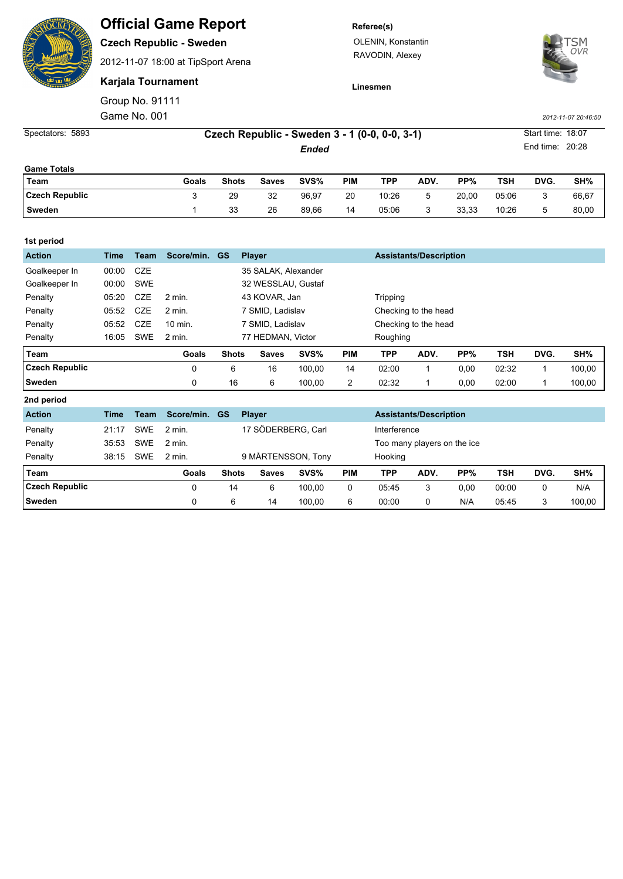## **Official Game Report**

**Czech Republic - Sweden**

2012-11-07 18:00 at TipSport Arena

**Karjala Tournament**

Group No. 91111

**Referee(s)**

OLENIN, Konstantin RAVODIN, Alexey



**Linesmen**

Game No. 001 *2012-11-07 20:46:50*

| Spectators: 5893      |       | Czech Republic - Sweden 3 - 1 (0-0, 0-0, 3-1) |              |       |            |       |      |       |       |      |                 |
|-----------------------|-------|-----------------------------------------------|--------------|-------|------------|-------|------|-------|-------|------|-----------------|
|                       |       | Ended                                         |              |       |            |       |      |       |       |      | End time: 20:28 |
| <b>Game Totals</b>    |       |                                               |              |       |            |       |      |       |       |      |                 |
| Team                  | Goals | <b>Shots</b>                                  | <b>Saves</b> | SVS%  | <b>PIM</b> | TPP   | ADV. | PP%   | TSH   | DVG. | SH%             |
| <b>Czech Republic</b> | 3     | 29                                            | 32           | 96.97 | 20         | 10:26 | 5    | 20.00 | 05:06 | 3    | 66.67           |
| <b>Sweden</b>         |       | 33                                            | 26           | 89.66 | 14         | 05:06 | 3    | 33.33 | 10:26 | 5    | 80.00           |

| 1st period            |             |            |            |                  |                     |        |            |                               |                               |      |            |      |        |  |
|-----------------------|-------------|------------|------------|------------------|---------------------|--------|------------|-------------------------------|-------------------------------|------|------------|------|--------|--|
| <b>Action</b>         | <b>Time</b> | Team       | Score/min. | <b>GS</b>        | <b>Player</b>       |        |            | <b>Assistants/Description</b> |                               |      |            |      |        |  |
| Goalkeeper In         | 00:00       | <b>CZE</b> |            |                  | 35 SALAK, Alexander |        |            |                               |                               |      |            |      |        |  |
| Goalkeeper In         | 00:00       | <b>SWE</b> |            |                  | 32 WESSLAU, Gustaf  |        |            |                               |                               |      |            |      |        |  |
| Penalty               | 05:20       | <b>CZE</b> | 2 min.     |                  | 43 KOVAR, Jan       |        | Tripping   |                               |                               |      |            |      |        |  |
| Penalty               | 05:52       | <b>CZE</b> | $2$ min.   | 7 SMID, Ladislav |                     |        |            | Checking to the head          |                               |      |            |      |        |  |
| Penalty               | 05:52       | <b>CZE</b> | 10 min.    | 7 SMID, Ladislav |                     |        |            | Checking to the head          |                               |      |            |      |        |  |
| Penalty               | 16:05       | <b>SWE</b> | $2$ min.   |                  | 77 HEDMAN, Victor   |        |            | Roughing                      |                               |      |            |      |        |  |
|                       |             |            |            |                  |                     |        |            |                               |                               |      |            |      |        |  |
| Team                  |             |            | Goals      | <b>Shots</b>     | <b>Saves</b>        | SVS%   | <b>PIM</b> | <b>TPP</b>                    | ADV.                          | PP%  | <b>TSH</b> | DVG. | SH%    |  |
| <b>Czech Republic</b> |             |            | 0          | 6                | 16                  | 100,00 | 14         | 02:00                         | 1                             | 0,00 | 02:32      |      | 100,00 |  |
| Sweden                |             |            | 0          | 16               | 6                   | 100,00 | 2          | 02:32                         | 1.                            | 0,00 | 02:00      |      | 100,00 |  |
| 2nd period            |             |            |            |                  |                     |        |            |                               |                               |      |            |      |        |  |
| <b>Action</b>         | Time        | Team       | Score/min. | <b>GS</b>        | <b>Player</b>       |        |            |                               | <b>Assistants/Description</b> |      |            |      |        |  |
| Penalty               | 21:17       | <b>SWE</b> | $2$ min.   |                  | 17 SÖDERBERG, Carl  |        |            | Interference                  |                               |      |            |      |        |  |

| Penalty               | 38:15 | <b>SWE</b> | $2 \text{ min}$ . |              |              | 9 MÅRTENSSON, Tony |     | Hooking |      |      |       |      |        |
|-----------------------|-------|------------|-------------------|--------------|--------------|--------------------|-----|---------|------|------|-------|------|--------|
| Team                  |       |            | Goals             | <b>Shots</b> | <b>Saves</b> | SVS%               | PIM | TPP     | ADV. | PP%  | TSH   | DVG. | SH%    |
| <b>Czech Republic</b> |       |            |                   | 14           | 6            | 100.00             |     | 05:45   |      | 0.00 | 00:00 |      | N/A    |
| <b>Sweden</b>         |       |            |                   |              | 14           | 100,00             |     | 00:00   |      | N/A  | 05:45 |      | 100.00 |